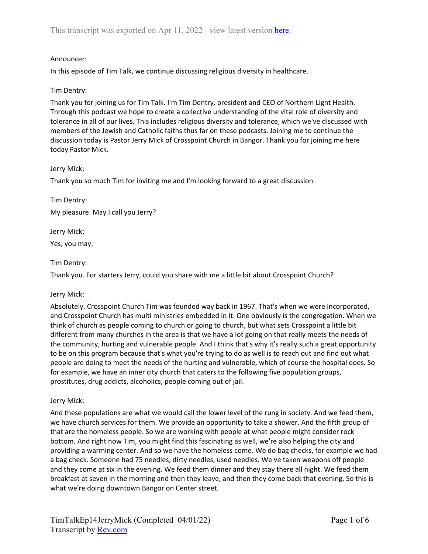### Announcer:

In this episode of Tim Talk, we continue discussing religious diversity in healthcare.

### Tim Dentry:

Thank you for joining us for Tim Talk. I'm Tim Dentry, president and CEO of Northern Light Health. Through this podcast we hope to create a collective understanding of the vital role of diversity and tolerance in all of our lives. This includes religious diversity and tolerance, which we've discussed with members of the Jewish and Catholic faiths thus far on these podcasts. Joining me to continue the discussion today is Pastor Jerry Mick of Crosspoint Church in Bangor. Thank you for joining me here today Pastor Mick.

## Jerry Mick:

Thank you so much Tim for inviting me and I'm looking forward to a great discussion.

Tim Dentry: My pleasure. May I call you Jerry?

Jerry Mick:

Yes, you may.

## Tim Dentry:

Thank you. For starters Jerry, could you share with me a little bit about Crosspoint Church?

### Jerry Mick:

Absolutely. Crosspoint Church Tim was founded way back in 1967. That's when we were incorporated, and Crosspoint Church has multi ministries embedded in it. One obviously is the congregation. When we think of church as people coming to church or going to church, but what sets Crosspoint a little bit different from many churches in the area is that we have a lot going on that really meets the needs of the community, hurting and vulnerable people. And I think that's why it's really such a great opportunity to be on this program because that's what you're trying to do as well is to reach out and find out what people are doing to meet the needs of the hurting and vulnerable, which of course the hospital does. So for example, we have an inner city church that caters to the following five population groups, prostitutes, drug addicts, alcoholics, people coming out of jail.

### Jerry Mick:

And these populations are what we would call the lower level of the rung in society. And we feed them, we have church services for them. We provide an opportunity to take a shower. And the fifth group of that are the homeless people. So we are working with people at what people might consider rock bottom. And right now Tim, you might find this fascinating as well, we're also helping the city and providing a warming center. And so we have the homeless come. We do bag checks, for example we had a bag check. Someone had 75 needles, dirty needles, used needles. We've taken weapons off people and they come at six in the evening. We feed them dinner and they stay there all night. We feed them breakfast at seven in the morning and then they leave, and then they come back that evening. So this is what we're doing downtown Bangor on Center street.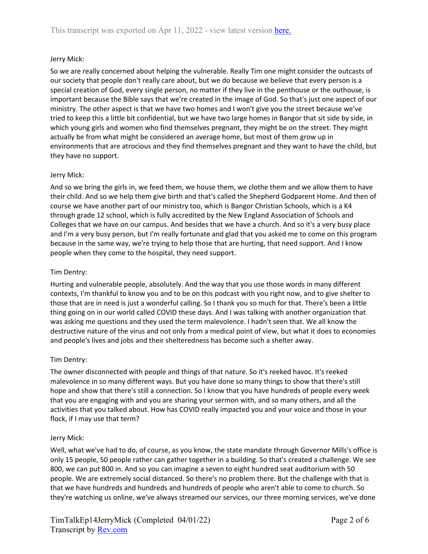# Jerry Mick:

So we are really concerned about helping the vulnerable. Really Tim one might consider the outcasts of our society that people don't really care about, but we do because we believe that every person is a special creation of God, every single person, no matter if they live in the penthouse or the outhouse, is important because the Bible says that we're created in the image of God. So that's just one aspect of our ministry. The other aspect is that we have two homes and I won't give you the street because we've tried to keep this a little bit confidential, but we have two large homes in Bangor that sit side by side, in which young girls and women who find themselves pregnant, they might be on the street. They might actually be from what might be considered an average home, but most of them grow up in environments that are atrocious and they find themselves pregnant and they want to have the child, but they have no support.

### Jerry Mick:

And so we bring the girls in, we feed them, we house them, we clothe them and we allow them to have their child. And so we help them give birth and that's called the Shepherd Godparent Home. And then of course we have another part of our ministry too, which is Bangor Christian Schools, which is a K4 through grade 12 school, which is fully accredited by the New England Association of Schools and Colleges that we have on our campus. And besides that we have a church. And so it's a very busy place and I'm a very busy person, but I'm really fortunate and glad that you asked me to come on this program because in the same way, we're trying to help those that are hurting, that need support. And I know people when they come to the hospital, they need support.

## Tim Dentry:

Hurting and vulnerable people, absolutely. And the way that you use those words in many different contexts, I'm thankful to know you and to be on this podcast with you right now, and to give shelter to those that are in need is just a wonderful calling. So I thank you so much for that. There's been a little thing going on in our world called COVID these days. And I was talking with another organization that was asking me questions and they used the term malevolence. I hadn't seen that. We all know the destructive nature of the virus and not only from a medical point of view, but what it does to economies and people's lives and jobs and their shelteredness has become such a shelter away.

# Tim Dentry:

The owner disconnected with people and things of that nature. So it's reeked havoc. It's reeked malevolence in so many different ways. But you have done so many things to show that there's still hope and show that there's still a connection. So I know that you have hundreds of people every week that you are engaging with and you are sharing your sermon with, and so many others, and all the activities that you talked about. How has COVID really impacted you and your voice and those in your flock, if I may use that term?

### Jerry Mick:

Well, what we've had to do, of course, as you know, the state mandate through Governor Mills's office is only 15 people, 50 people rather can gather together in a building. So that's created a challenge. We see 800, we can put 800 in. And so you can imagine a seven to eight hundred seat auditorium with 50 people. We are extremely social distanced. So there's no problem there. But the challenge with that is that we have hundreds and hundreds and hundreds of people who aren't able to come to church. So they're watching us online, we've always streamed our services, our three morning services, we've done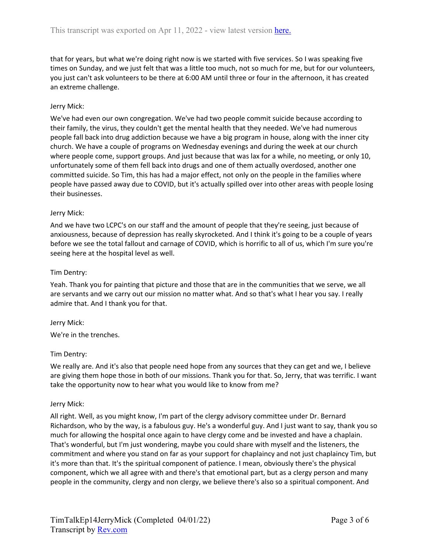that for years, but what we're doing right now is we started with five services. So I was speaking five times on Sunday, and we just felt that was a little too much, not so much for me, but for our volunteers, you just can't ask volunteers to be there at 6:00 AM until three or four in the afternoon, it has created an extreme challenge.

# Jerry Mick:

We've had even our own congregation. We've had two people commit suicide because according to their family, the virus, they couldn't get the mental health that they needed. We've had numerous people fall back into drug addiction because we have a big program in house, along with the inner city church. We have a couple of programs on Wednesday evenings and during the week at our church where people come, support groups. And just because that was lax for a while, no meeting, or only 10, unfortunately some of them fell back into drugs and one of them actually overdosed, another one committed suicide. So Tim, this has had a major effect, not only on the people in the families where people have passed away due to COVID, but it's actually spilled over into other areas with people losing their businesses.

### Jerry Mick:

And we have two LCPC's on our staff and the amount of people that they're seeing, just because of anxiousness, because of depression has really skyrocketed. And I think it's going to be a couple of years before we see the total fallout and carnage of COVID, which is horrific to all of us, which I'm sure you're seeing here at the hospital level as well.

## Tim Dentry:

Yeah. Thank you for painting that picture and those that are in the communities that we serve, we all are servants and we carry out our mission no matter what. And so that's what I hear you say. I really admire that. And I thank you for that.

### Jerry Mick:

We're in the trenches.

### Tim Dentry:

We really are. And it's also that people need hope from any sources that they can get and we, I believe are giving them hope those in both of our missions. Thank you for that. So, Jerry, that was terrific. I want take the opportunity now to hear what you would like to know from me?

### Jerry Mick:

All right. Well, as you might know, I'm part of the clergy advisory committee under Dr. Bernard Richardson, who by the way, is a fabulous guy. He's a wonderful guy. And I just want to say, thank you so much for allowing the hospital once again to have clergy come and be invested and have a chaplain. That's wonderful, but I'm just wondering, maybe you could share with myself and the listeners, the commitment and where you stand on far as your support for chaplaincy and not just chaplaincy Tim, but it's more than that. It's the spiritual component of patience. I mean, obviously there's the physical component, which we all agree with and there's that emotional part, but as a clergy person and many people in the community, clergy and non clergy, we believe there's also so a spiritual component. And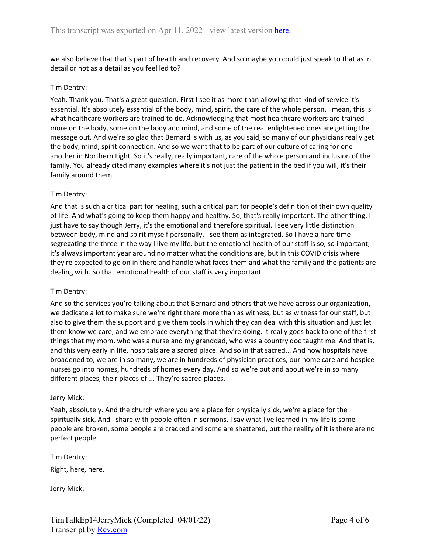we also believe that that's part of health and recovery. And so maybe you could just speak to that as in detail or not as a detail as you feel led to?

### Tim Dentry:

Yeah. Thank you. That's a great question. First I see it as more than allowing that kind of service it's essential. It's absolutely essential of the body, mind, spirit, the care of the whole person. I mean, this is what healthcare workers are trained to do. Acknowledging that most healthcare workers are trained more on the body, some on the body and mind, and some of the real enlightened ones are getting the message out. And we're so glad that Bernard is with us, as you said, so many of our physicians really get the body, mind, spirit connection. And so we want that to be part of our culture of caring for one another in Northern Light. So it's really, really important, care of the whole person and inclusion of the family. You already cited many examples where it's not just the patient in the bed if you will, it's their family around them.

## Tim Dentry:

And that is such a critical part for healing, such a critical part for people's definition of their own quality of life. And what's going to keep them happy and healthy. So, that's really important. The other thing, I just have to say though Jerry, it's the emotional and therefore spiritual. I see very little distinction between body, mind and spirit myself personally. I see them as integrated. So I have a hard time segregating the three in the way I live my life, but the emotional health of our staff is so, so important, it's always important year around no matter what the conditions are, but in this COVID crisis where they're expected to go on in there and handle what faces them and what the family and the patients are dealing with. So that emotional health of our staff is very important.

### Tim Dentry:

And so the services you're talking about that Bernard and others that we have across our organization, we dedicate a lot to make sure we're right there more than as witness, but as witness for our staff, but also to give them the support and give them tools in which they can deal with this situation and just let them know we care, and we embrace everything that they're doing. It really goes back to one of the first things that my mom, who was a nurse and my granddad, who was a country doc taught me. And that is, and this very early in life, hospitals are a sacred place. And so in that sacred... And now hospitals have broadened to, we are in so many, we are in hundreds of physician practices, our home care and hospice nurses go into homes, hundreds of homes every day. And so we're out and about we're in so many different places, their places of.... They're sacred places.

### Jerry Mick:

Yeah, absolutely. And the church where you are a place for physically sick, we're a place for the spiritually sick. And I share with people often in sermons. I say what I've learned in my life is some people are broken, some people are cracked and some are shattered, but the reality of it is there are no perfect people.

Tim Dentry: Right, here, here.

Jerry Mick: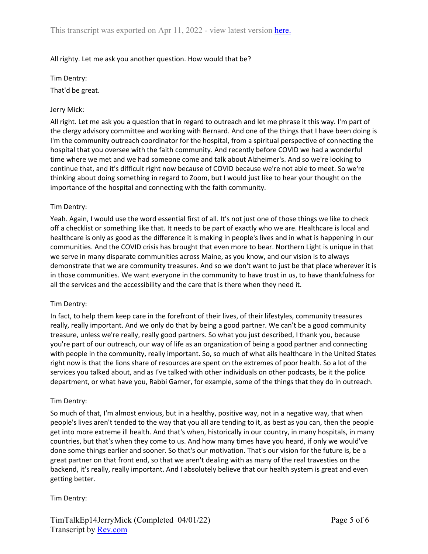### All righty. Let me ask you another question. How would that be?

Tim Dentry:

That'd be great.

#### Jerry Mick:

All right. Let me ask you a question that in regard to outreach and let me phrase it this way. I'm part of the clergy advisory committee and working with Bernard. And one of the things that I have been doing is I'm the community outreach coordinator for the hospital, from a spiritual perspective of connecting the hospital that you oversee with the faith community. And recently before COVID we had a wonderful time where we met and we had someone come and talk about Alzheimer's. And so we're looking to continue that, and it's difficult right now because of COVID because we're not able to meet. So we're thinking about doing something in regard to Zoom, but I would just like to hear your thought on the importance of the hospital and connecting with the faith community.

#### Tim Dentry:

Yeah. Again, I would use the word essential first of all. It's not just one of those things we like to check off a checklist or something like that. It needs to be part of exactly who we are. Healthcare is local and healthcare is only as good as the difference it is making in people's lives and in what is happening in our communities. And the COVID crisis has brought that even more to bear. Northern Light is unique in that we serve in many disparate communities across Maine, as you know, and our vision is to always demonstrate that we are community treasures. And so we don't want to just be that place wherever it is in those communities. We want everyone in the community to have trust in us, to have thankfulness for all the services and the accessibility and the care that is there when they need it.

#### Tim Dentry:

In fact, to help them keep care in the forefront of their lives, of their lifestyles, community treasures really, really important. And we only do that by being a good partner. We can't be a good community treasure, unless we're really, really good partners. So what you just described, I thank you, because you're part of our outreach, our way of life as an organization of being a good partner and connecting with people in the community, really important. So, so much of what ails healthcare in the United States right now is that the lions share of resources are spent on the extremes of poor health. So a lot of the services you talked about, and as I've talked with other individuals on other podcasts, be it the police department, or what have you, Rabbi Garner, for example, some of the things that they do in outreach.

#### Tim Dentry:

So much of that, I'm almost envious, but in a healthy, positive way, not in a negative way, that when people's lives aren't tended to the way that you all are tending to it, as best as you can, then the people get into more extreme ill health. And that's when, historically in our country, in many hospitals, in many countries, but that's when they come to us. And how many times have you heard, if only we would've done some things earlier and sooner. So that's our motivation. That's our vision for the future is, be a great partner on that front end, so that we aren't dealing with as many of the real travesties on the backend, it's really, really important. And I absolutely believe that our health system is great and even getting better.

### Tim Dentry: